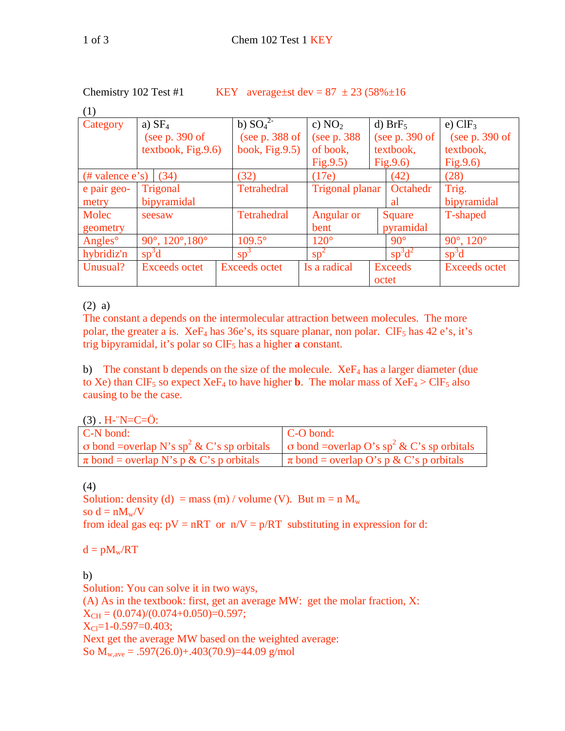KEY average±st dev =  $87 \pm 23$  (58% $\pm 16$ )

| $\left( - \right)$  |                                                 |                      |                 |                  |                       |
|---------------------|-------------------------------------------------|----------------------|-----------------|------------------|-----------------------|
| Category            | a) $SF4$                                        | b) $SO_4^{2-}$       | c) $NO2$        | d) $BrF5$        | e) $CIF_3$            |
|                     | (see $p. 390$ of                                | (see $p. 388$ of     | (see p. 388)    | (see $p. 390$ of | (see p. 390 of        |
|                     | textbook, Fig.9.6)                              | book, $Fig.9.5$ )    | of book,        | textbook,        | textbook,             |
|                     |                                                 |                      | Fig.9.5)        | Fig.9.6)         | Fig.9.6)              |
| $#$ valence $e's$ ) | (34)                                            | (32)                 | (17e)           | (42)             | (28)                  |
| e pair geo-         | Trigonal                                        | <b>Tetrahedral</b>   | Trigonal planar | Octahedr         | Trig.                 |
| metry               | bipyramidal                                     |                      |                 | al               | bipyramidal           |
| Molec               | seesaw                                          | <b>Tetrahedral</b>   | Angular or      | Square           | T-shaped              |
| geometry            |                                                 |                      | bent            | pyramidal        |                       |
| Angles <sup>o</sup> | 90 $^{\circ}$ , 120 $^{\circ}$ , 180 $^{\circ}$ | $109.5^\circ$        | $120^\circ$     | $90^\circ$       | $90^\circ, 120^\circ$ |
| hybridiz'n          | $sp^3d$                                         | $sp^3$               | $sp^2$          | $sp^3d^2$        | $sp^3d$               |
| Unusual?            | <b>Exceeds octet</b>                            | <b>Exceeds octet</b> | Is a radical    | <b>Exceeds</b>   | <b>Exceeds octet</b>  |
|                     |                                                 |                      |                 | octet            |                       |

## (2) a)

The constant a depends on the intermolecular attraction between molecules. The more polar, the greater a is. XeF<sub>4</sub> has 36e's, its square planar, non polar. ClF<sub>5</sub> has 42 e's, it's trig bipyramidal, it's polar so  $CIF_5$  has a higher **a** constant.

b) The constant b depends on the size of the molecule.  $XeF_4$  has a larger diameter (due to Xe) than ClF<sub>5</sub> so expect XeF<sub>4</sub> to have higher **b**. The molar mass of XeF<sub>4</sub> > ClF<sub>5</sub> also causing to be the case.

 $(3)$  . H-<sup>--</sup>N=C= $\ddot{O}$ :

| C-N bond:                                                                                                                 | $\mathsf{C}\text{-}\mathsf{O}$ bond:        |
|---------------------------------------------------------------------------------------------------------------------------|---------------------------------------------|
| $\sigma$ bond =overlap N's sp <sup>2</sup> & C's sp orbitals $\sigma$ bond =overlap O's sp <sup>2</sup> & C's sp orbitals |                                             |
| $\pi$ bond = overlap N's p & C's p orbitals                                                                               | $\pi$ bond = overlap O's p & C's p orbitals |

## (4)

Solution: density (d) = mass (m) / volume (V). But m = n  $M_w$ so  $d = nM_w/V$ from ideal gas eq:  $pV = nRT$  or  $n/V = p/RT$  substituting in expression for d:

 $d = pM_w/RT$ 

## b)

Solution: You can solve it in two ways, (A) As in the textbook: first, get an average MW: get the molar fraction, X:  $X_{CH} = (0.074)/(0.074+0.050)=0.597;$  $X_{Cl}$ =1-0.597=0.403; Next get the average MW based on the weighted average: So  $M_{w,ave} = .597(26.0) + .403(70.9) = 44.09$  g/mol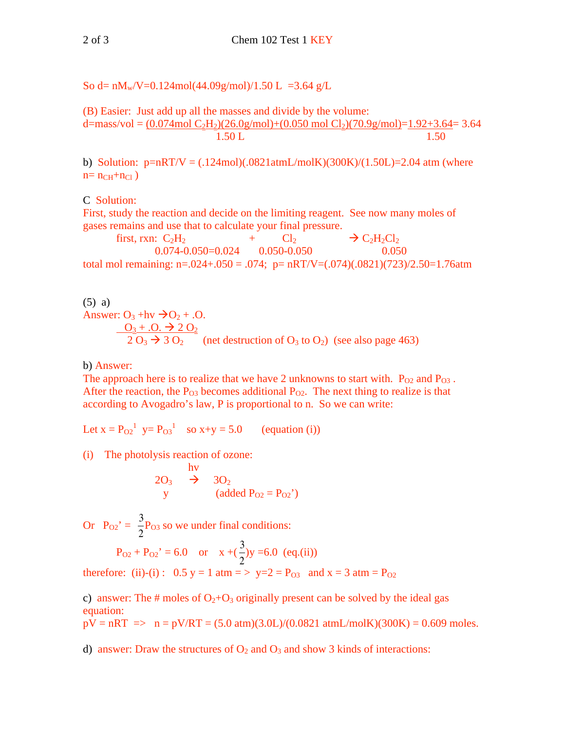So d=  $nM_w/V=0.124$ mol(44.09g/mol)/1.50 L =3.64 g/L

(B) Easier: Just add up all the masses and divide by the volume: d=mass/vol =  $(0.074 \text{mol C}_2H_2)(26.0 \text{g/mol})+(0.050 \text{ mol C}_2)(70.9 \text{g/mol})=1.92+3.64=3.64$ 1.50 L 1.50

b) Solution:  $p=nRT/V = (.124 \text{mol})(.0821 \text{atm}L/\text{mol}K)(300 \text{K})/(1.50 \text{L})=2.04 \text{ atm}$  (where  $n = n_{CH} + n_{Cl}$ )

C Solution:

First, study the reaction and decide on the limiting reagent. See now many moles of gases remains and use that to calculate your final pressure.

first, rxn:  $C_2H_2$  +  $Cl_2$  $\rightarrow$  C<sub>2</sub>H<sub>2</sub>Cl<sub>2</sub> 0.074-0.050=0.024 0.050-0.050 0.050 total mol remaining:  $n=.024+.050=.074$ ;  $p=nRT/V=(.074)(.0821)(723)/2.50=1.76$ atm

(5) a) Answer:  $O_3$  +hv  $\rightarrow O_2$  + .0.  $O_3 + .O. \rightarrow 2 O_2$  $2 O_3 \rightarrow 3 O_2$  (net destruction of  $O_3$  to  $O_2$ ) (see also page 463)

b) Answer:

The approach here is to realize that we have 2 unknowns to start with.  $P_{02}$  and  $P_{03}$ . After the reaction, the  $P_{03}$  becomes additional  $P_{02}$ . The next thing to realize is that according to Avogadro's law, P is proportional to n. So we can write:

Let  $x = P_{02}^1$   $y = P_{03}^1$  so  $x+y = 5.0$  (equation (i))

(i) The photolysis reaction of ozone:

$$
\begin{array}{ccc}\n & hv \\
2O_3 & \rightarrow & 3O_2 \\
y & (added \ P_{O2} = P_{O2}))\n\end{array}
$$

Or  $P_{02}' = \frac{3}{2}$ 2 P<sub>O3</sub> so we under final conditions:

$$
P_{O2} + P_{O2}' = 6.0
$$
 or  $x + (\frac{3}{2})y = 6.0$  (eq.(ii))

therefore: (ii)-(i) :  $0.5 y = 1 atm = > y=2 = P_{03} and x = 3 atm = P_{02}$ 

c) answer: The # moles of  $O_2+O_3$  originally present can be solved by the ideal gas equation:

 $pV = nRT \implies n = pV/RT = (5.0 \text{ atm})(3.0L)/(0.0821 \text{ atm}L/molK)(300K) = 0.609 \text{ moles}.$ 

d) answer: Draw the structures of  $O_2$  and  $O_3$  and show 3 kinds of interactions: